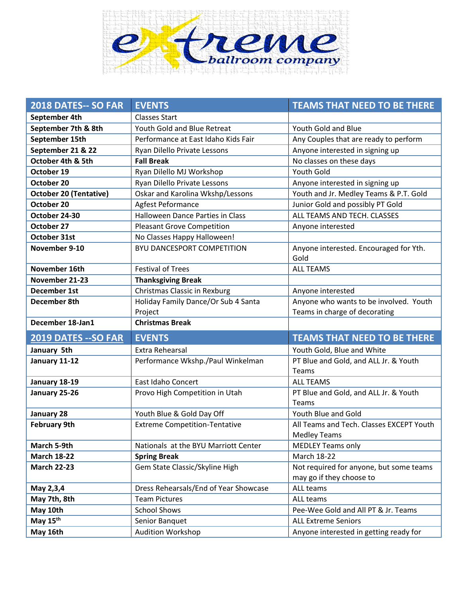

| 2018 DATES-- SO FAR           | <b>EVENTS</b>                         | <b>TEAMS THAT NEED TO BE THERE</b>                                  |
|-------------------------------|---------------------------------------|---------------------------------------------------------------------|
| September 4th                 | <b>Classes Start</b>                  |                                                                     |
| September 7th & 8th           | Youth Gold and Blue Retreat           | Youth Gold and Blue                                                 |
| September 15th                | Performance at East Idaho Kids Fair   | Any Couples that are ready to perform                               |
| September 21 & 22             | Ryan Dilello Private Lessons          | Anyone interested in signing up                                     |
| October 4th & 5th             | <b>Fall Break</b>                     | No classes on these days                                            |
| October 19                    | Ryan Dilello MJ Workshop              | <b>Youth Gold</b>                                                   |
| October 20                    | Ryan Dilello Private Lessons          | Anyone interested in signing up                                     |
| <b>October 20 (Tentative)</b> | Oskar and Karolina Wkshp/Lessons      | Youth and Jr. Medley Teams & P.T. Gold                              |
| October 20                    | Agfest Peformance                     | Junior Gold and possibly PT Gold                                    |
| October 24-30                 | Halloween Dance Parties in Class      | ALL TEAMS AND TECH. CLASSES                                         |
| October 27                    | <b>Pleasant Grove Competition</b>     | Anyone interested                                                   |
| <b>October 31st</b>           | No Classes Happy Halloween!           |                                                                     |
| November 9-10                 | BYU DANCESPORT COMPETITION            | Anyone interested. Encouraged for Yth.<br>Gold                      |
| November 16th                 | <b>Festival of Trees</b>              | <b>ALL TEAMS</b>                                                    |
| November 21-23                | <b>Thanksgiving Break</b>             |                                                                     |
| <b>December 1st</b>           | Christmas Classic in Rexburg          | Anyone interested                                                   |
| December 8th                  | Holiday Family Dance/Or Sub 4 Santa   | Anyone who wants to be involved. Youth                              |
|                               | Project                               | Teams in charge of decorating                                       |
|                               |                                       |                                                                     |
| December 18-Jan1              | <b>Christmas Break</b>                |                                                                     |
| 2019 DATES -- SO FAR          | <b>EVENTS</b>                         | <b>TEAMS THAT NEED TO BE THERE</b>                                  |
| January 5th                   | <b>Extra Rehearsal</b>                | Youth Gold, Blue and White                                          |
| January 11-12                 | Performance Wkshp./Paul Winkelman     | PT Blue and Gold, and ALL Jr. & Youth                               |
|                               |                                       | Teams                                                               |
| January 18-19                 | East Idaho Concert                    | <b>ALL TEAMS</b>                                                    |
| January 25-26                 | Provo High Competition in Utah        | PT Blue and Gold, and ALL Jr. & Youth<br>Teams                      |
| January 28                    | Youth Blue & Gold Day Off             | Youth Blue and Gold                                                 |
| <b>February 9th</b>           | <b>Extreme Competition-Tentative</b>  | All Teams and Tech. Classes EXCEPT Youth                            |
|                               |                                       | <b>Medley Teams</b>                                                 |
| March 5-9th                   | Nationals at the BYU Marriott Center  | <b>MEDLEY Teams only</b>                                            |
| <b>March 18-22</b>            | <b>Spring Break</b>                   | March 18-22                                                         |
| <b>March 22-23</b>            | Gem State Classic/Skyline High        | Not required for anyone, but some teams<br>may go if they choose to |
| May 2,3,4                     | Dress Rehearsals/End of Year Showcase | ALL teams                                                           |
| May 7th, 8th                  | <b>Team Pictures</b>                  | ALL teams                                                           |
| May 10th                      | <b>School Shows</b>                   | Pee-Wee Gold and All PT & Jr. Teams                                 |
| May 15 <sup>th</sup>          | Senior Banquet                        | <b>ALL Extreme Seniors</b>                                          |